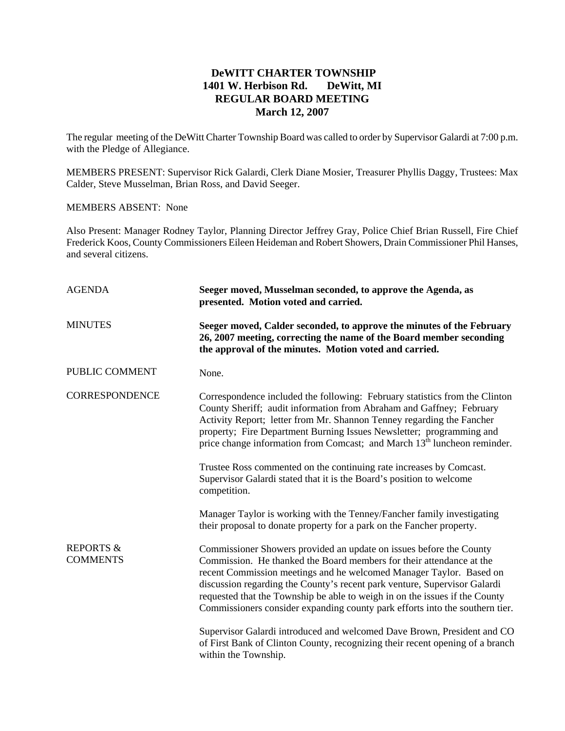## **DeWITT CHARTER TOWNSHIP 1401 W. Herbison Rd. DeWitt, MI REGULAR BOARD MEETING March 12, 2007**

The regular meeting of the DeWitt Charter Township Board was called to order by Supervisor Galardi at 7:00 p.m. with the Pledge of Allegiance.

MEMBERS PRESENT: Supervisor Rick Galardi, Clerk Diane Mosier, Treasurer Phyllis Daggy, Trustees: Max Calder, Steve Musselman, Brian Ross, and David Seeger.

## MEMBERS ABSENT: None

Also Present: Manager Rodney Taylor, Planning Director Jeffrey Gray, Police Chief Brian Russell, Fire Chief Frederick Koos, County Commissioners Eileen Heideman and Robert Showers, Drain Commissioner Phil Hanses, and several citizens.

| <b>AGENDA</b>                           | Seeger moved, Musselman seconded, to approve the Agenda, as<br>presented. Motion voted and carried.                                                                                                                                                                                                                                                                                                                                                            |
|-----------------------------------------|----------------------------------------------------------------------------------------------------------------------------------------------------------------------------------------------------------------------------------------------------------------------------------------------------------------------------------------------------------------------------------------------------------------------------------------------------------------|
| <b>MINUTES</b>                          | Seeger moved, Calder seconded, to approve the minutes of the February<br>26, 2007 meeting, correcting the name of the Board member seconding<br>the approval of the minutes. Motion voted and carried.                                                                                                                                                                                                                                                         |
| PUBLIC COMMENT                          | None.                                                                                                                                                                                                                                                                                                                                                                                                                                                          |
| <b>CORRESPONDENCE</b>                   | Correspondence included the following: February statistics from the Clinton<br>County Sheriff; audit information from Abraham and Gaffney; February<br>Activity Report; letter from Mr. Shannon Tenney regarding the Fancher<br>property; Fire Department Burning Issues Newsletter; programming and<br>price change information from Comcast; and March 13 <sup>th</sup> luncheon reminder.                                                                   |
|                                         | Trustee Ross commented on the continuing rate increases by Comcast.<br>Supervisor Galardi stated that it is the Board's position to welcome<br>competition.                                                                                                                                                                                                                                                                                                    |
|                                         | Manager Taylor is working with the Tenney/Fancher family investigating<br>their proposal to donate property for a park on the Fancher property.                                                                                                                                                                                                                                                                                                                |
| <b>REPORTS &amp;</b><br><b>COMMENTS</b> | Commissioner Showers provided an update on issues before the County<br>Commission. He thanked the Board members for their attendance at the<br>recent Commission meetings and he welcomed Manager Taylor. Based on<br>discussion regarding the County's recent park venture, Supervisor Galardi<br>requested that the Township be able to weigh in on the issues if the County<br>Commissioners consider expanding county park efforts into the southern tier. |
|                                         | Supervisor Galardi introduced and welcomed Dave Brown, President and CO<br>of First Bank of Clinton County, recognizing their recent opening of a branch<br>within the Township.                                                                                                                                                                                                                                                                               |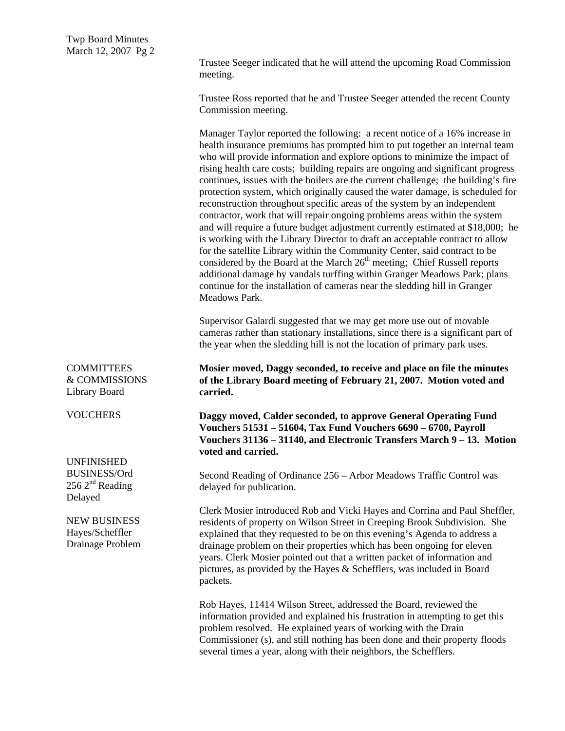Trustee Seeger indicated that he will attend the upcoming Road Commission meeting.

Trustee Ross reported that he and Trustee Seeger attended the recent County Commission meeting.

Manager Taylor reported the following: a recent notice of a 16% increase in health insurance premiums has prompted him to put together an internal team who will provide information and explore options to minimize the impact of rising health care costs; building repairs are ongoing and significant progress continues, issues with the boilers are the current challenge; the building's fire protection system, which originally caused the water damage, is scheduled for reconstruction throughout specific areas of the system by an independent contractor, work that will repair ongoing problems areas within the system and will require a future budget adjustment currently estimated at \$18,000; he is working with the Library Director to draft an acceptable contract to allow for the satellite Library within the Community Center, said contract to be considered by the Board at the March  $26<sup>th</sup>$  meeting; Chief Russell reports additional damage by vandals turffing within Granger Meadows Park; plans continue for the installation of cameras near the sledding hill in Granger Meadows Park.

Supervisor Galardi suggested that we may get more use out of movable cameras rather than stationary installations, since there is a significant part of the year when the sledding hill is not the location of primary park uses.

**Mosier moved, Daggy seconded, to receive and place on file the minutes of the Library Board meeting of February 21, 2007. Motion voted and carried.** 

**Daggy moved, Calder seconded, to approve General Operating Fund Vouchers 51531 – 51604, Tax Fund Vouchers 6690 – 6700, Payroll Vouchers 31136 – 31140, and Electronic Transfers March 9 – 13. Motion voted and carried.** 

Second Reading of Ordinance 256 – Arbor Meadows Traffic Control was delayed for publication.

Clerk Mosier introduced Rob and Vicki Hayes and Corrina and Paul Sheffler, residents of property on Wilson Street in Creeping Brook Subdivision. She explained that they requested to be on this evening's Agenda to address a drainage problem on their properties which has been ongoing for eleven years. Clerk Mosier pointed out that a written packet of information and pictures, as provided by the Hayes & Schefflers, was included in Board packets.

Rob Hayes, 11414 Wilson Street, addressed the Board, reviewed the information provided and explained his frustration in attempting to get this problem resolved. He explained years of working with the Drain Commissioner (s), and still nothing has been done and their property floods several times a year, along with their neighbors, the Schefflers.

COMMITTEES & COMMISSIONS Library Board

**VOUCHERS** 

UNFINISHED BUSINESS/Ord  $256$   $2<sup>nd</sup>$  Reading Delayed

NEW BUSINESS Hayes/Scheffler Drainage Problem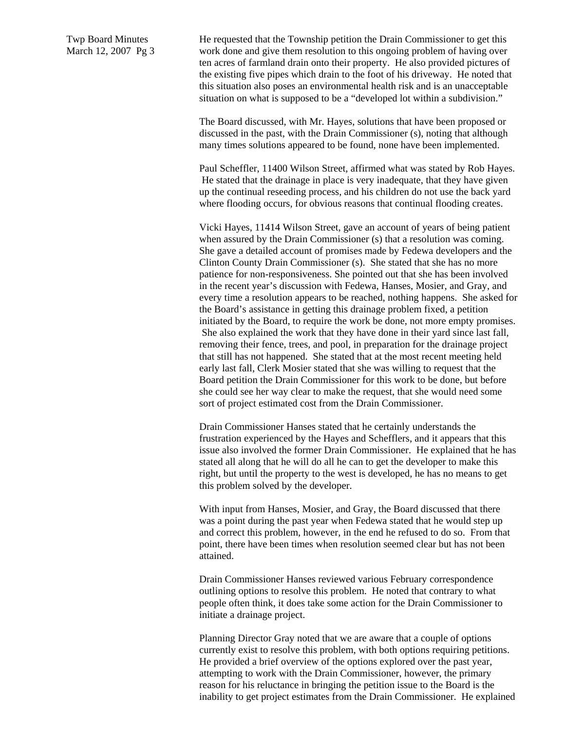Twp Board Minutes March 12, 2007 Pg 3 He requested that the Township petition the Drain Commissioner to get this work done and give them resolution to this ongoing problem of having over ten acres of farmland drain onto their property. He also provided pictures of the existing five pipes which drain to the foot of his driveway. He noted that this situation also poses an environmental health risk and is an unacceptable situation on what is supposed to be a "developed lot within a subdivision."

The Board discussed, with Mr. Hayes, solutions that have been proposed or discussed in the past, with the Drain Commissioner (s), noting that although many times solutions appeared to be found, none have been implemented.

Paul Scheffler, 11400 Wilson Street, affirmed what was stated by Rob Hayes. He stated that the drainage in place is very inadequate, that they have given up the continual reseeding process, and his children do not use the back yard where flooding occurs, for obvious reasons that continual flooding creates.

Vicki Hayes, 11414 Wilson Street, gave an account of years of being patient when assured by the Drain Commissioner (s) that a resolution was coming. She gave a detailed account of promises made by Fedewa developers and the Clinton County Drain Commissioner (s). She stated that she has no more patience for non-responsiveness. She pointed out that she has been involved in the recent year's discussion with Fedewa, Hanses, Mosier, and Gray, and every time a resolution appears to be reached, nothing happens. She asked for the Board's assistance in getting this drainage problem fixed, a petition initiated by the Board, to require the work be done, not more empty promises. She also explained the work that they have done in their yard since last fall, removing their fence, trees, and pool, in preparation for the drainage project that still has not happened. She stated that at the most recent meeting held early last fall, Clerk Mosier stated that she was willing to request that the Board petition the Drain Commissioner for this work to be done, but before she could see her way clear to make the request, that she would need some sort of project estimated cost from the Drain Commissioner.

Drain Commissioner Hanses stated that he certainly understands the frustration experienced by the Hayes and Schefflers, and it appears that this issue also involved the former Drain Commissioner. He explained that he has stated all along that he will do all he can to get the developer to make this right, but until the property to the west is developed, he has no means to get this problem solved by the developer.

With input from Hanses, Mosier, and Gray, the Board discussed that there was a point during the past year when Fedewa stated that he would step up and correct this problem, however, in the end he refused to do so. From that point, there have been times when resolution seemed clear but has not been attained.

Drain Commissioner Hanses reviewed various February correspondence outlining options to resolve this problem. He noted that contrary to what people often think, it does take some action for the Drain Commissioner to initiate a drainage project.

Planning Director Gray noted that we are aware that a couple of options currently exist to resolve this problem, with both options requiring petitions. He provided a brief overview of the options explored over the past year, attempting to work with the Drain Commissioner, however, the primary reason for his reluctance in bringing the petition issue to the Board is the inability to get project estimates from the Drain Commissioner. He explained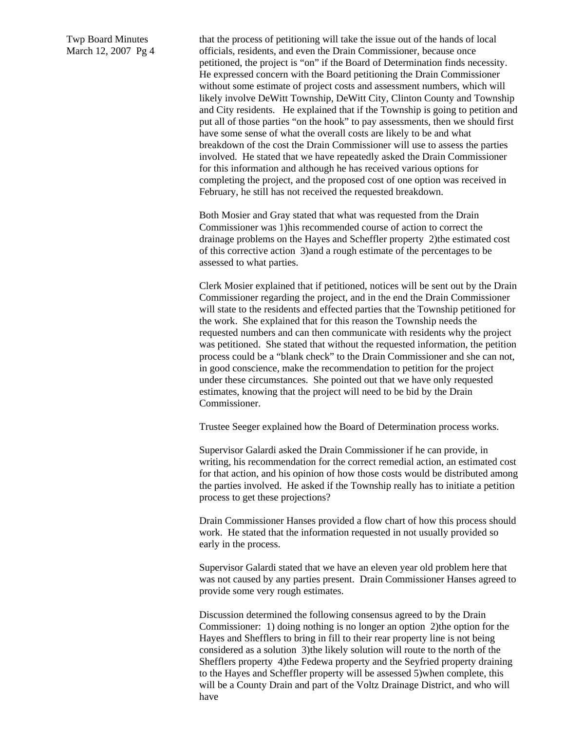Twp Board Minutes March 12, 2007 Pg 4

that the process of petitioning will take the issue out of the hands of local officials, residents, and even the Drain Commissioner, because once petitioned, the project is "on" if the Board of Determination finds necessity. He expressed concern with the Board petitioning the Drain Commissioner without some estimate of project costs and assessment numbers, which will likely involve DeWitt Township, DeWitt City, Clinton County and Township and City residents. He explained that if the Township is going to petition and put all of those parties "on the hook" to pay assessments, then we should first have some sense of what the overall costs are likely to be and what breakdown of the cost the Drain Commissioner will use to assess the parties involved. He stated that we have repeatedly asked the Drain Commissioner for this information and although he has received various options for completing the project, and the proposed cost of one option was received in February, he still has not received the requested breakdown.

Both Mosier and Gray stated that what was requested from the Drain Commissioner was 1)his recommended course of action to correct the drainage problems on the Hayes and Scheffler property 2)the estimated cost of this corrective action 3)and a rough estimate of the percentages to be assessed to what parties.

Clerk Mosier explained that if petitioned, notices will be sent out by the Drain Commissioner regarding the project, and in the end the Drain Commissioner will state to the residents and effected parties that the Township petitioned for the work. She explained that for this reason the Township needs the requested numbers and can then communicate with residents why the project was petitioned. She stated that without the requested information, the petition process could be a "blank check" to the Drain Commissioner and she can not, in good conscience, make the recommendation to petition for the project under these circumstances. She pointed out that we have only requested estimates, knowing that the project will need to be bid by the Drain Commissioner.

Trustee Seeger explained how the Board of Determination process works.

Supervisor Galardi asked the Drain Commissioner if he can provide, in writing, his recommendation for the correct remedial action, an estimated cost for that action, and his opinion of how those costs would be distributed among the parties involved. He asked if the Township really has to initiate a petition process to get these projections?

Drain Commissioner Hanses provided a flow chart of how this process should work. He stated that the information requested in not usually provided so early in the process.

Supervisor Galardi stated that we have an eleven year old problem here that was not caused by any parties present. Drain Commissioner Hanses agreed to provide some very rough estimates.

Discussion determined the following consensus agreed to by the Drain Commissioner: 1) doing nothing is no longer an option 2)the option for the Hayes and Shefflers to bring in fill to their rear property line is not being considered as a solution 3)the likely solution will route to the north of the Shefflers property 4)the Fedewa property and the Seyfried property draining to the Hayes and Scheffler property will be assessed 5)when complete, this will be a County Drain and part of the Voltz Drainage District, and who will have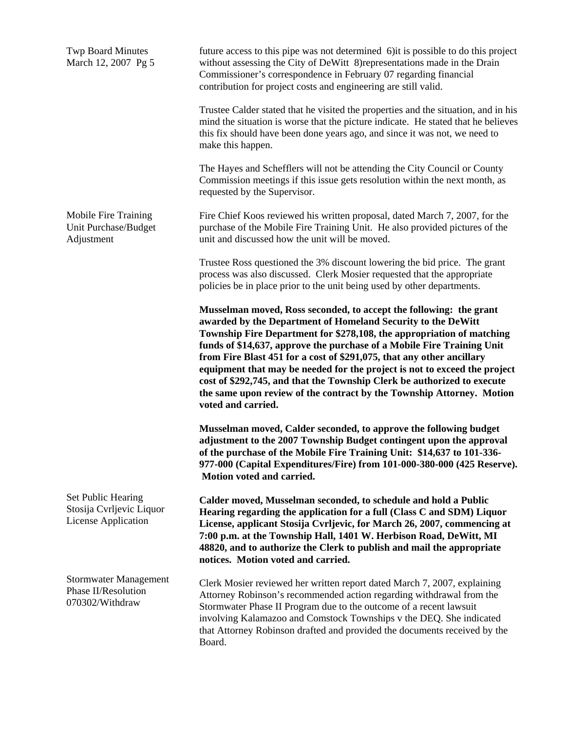| <b>Twp Board Minutes</b><br>March 12, 2007 Pg 5                       | future access to this pipe was not determined 6) it is possible to do this project<br>without assessing the City of DeWitt 8) representations made in the Drain<br>Commissioner's correspondence in February 07 regarding financial<br>contribution for project costs and engineering are still valid.                                                                                                                                                                                                                                                                                                                |
|-----------------------------------------------------------------------|-----------------------------------------------------------------------------------------------------------------------------------------------------------------------------------------------------------------------------------------------------------------------------------------------------------------------------------------------------------------------------------------------------------------------------------------------------------------------------------------------------------------------------------------------------------------------------------------------------------------------|
|                                                                       | Trustee Calder stated that he visited the properties and the situation, and in his<br>mind the situation is worse that the picture indicate. He stated that he believes<br>this fix should have been done years ago, and since it was not, we need to<br>make this happen.                                                                                                                                                                                                                                                                                                                                            |
|                                                                       | The Hayes and Schefflers will not be attending the City Council or County<br>Commission meetings if this issue gets resolution within the next month, as<br>requested by the Supervisor.                                                                                                                                                                                                                                                                                                                                                                                                                              |
| Mobile Fire Training<br>Unit Purchase/Budget<br>Adjustment            | Fire Chief Koos reviewed his written proposal, dated March 7, 2007, for the<br>purchase of the Mobile Fire Training Unit. He also provided pictures of the<br>unit and discussed how the unit will be moved.                                                                                                                                                                                                                                                                                                                                                                                                          |
|                                                                       | Trustee Ross questioned the 3% discount lowering the bid price. The grant<br>process was also discussed. Clerk Mosier requested that the appropriate<br>policies be in place prior to the unit being used by other departments.                                                                                                                                                                                                                                                                                                                                                                                       |
|                                                                       | Musselman moved, Ross seconded, to accept the following: the grant<br>awarded by the Department of Homeland Security to the DeWitt<br>Township Fire Department for \$278,108, the appropriation of matching<br>funds of \$14,637, approve the purchase of a Mobile Fire Training Unit<br>from Fire Blast 451 for a cost of \$291,075, that any other ancillary<br>equipment that may be needed for the project is not to exceed the project<br>cost of \$292,745, and that the Township Clerk be authorized to execute<br>the same upon review of the contract by the Township Attorney. Motion<br>voted and carried. |
|                                                                       | Musselman moved, Calder seconded, to approve the following budget<br>adjustment to the 2007 Township Budget contingent upon the approval<br>of the purchase of the Mobile Fire Training Unit: \$14,637 to 101-336-<br>977-000 (Capital Expenditures/Fire) from 101-000-380-000 (425 Reserve).<br>Motion voted and carried.                                                                                                                                                                                                                                                                                            |
| Set Public Hearing<br>Stosija Cvrljevic Liquor<br>License Application | Calder moved, Musselman seconded, to schedule and hold a Public<br>Hearing regarding the application for a full (Class C and SDM) Liquor<br>License, applicant Stosija Cvrljevic, for March 26, 2007, commencing at<br>7:00 p.m. at the Township Hall, 1401 W. Herbison Road, DeWitt, MI<br>48820, and to authorize the Clerk to publish and mail the appropriate<br>notices. Motion voted and carried.                                                                                                                                                                                                               |
| Stormwater Management<br>Phase II/Resolution<br>070302/Withdraw       | Clerk Mosier reviewed her written report dated March 7, 2007, explaining<br>Attorney Robinson's recommended action regarding withdrawal from the<br>Stormwater Phase II Program due to the outcome of a recent lawsuit<br>involving Kalamazoo and Comstock Townships v the DEQ. She indicated<br>that Attorney Robinson drafted and provided the documents received by the<br>Board.                                                                                                                                                                                                                                  |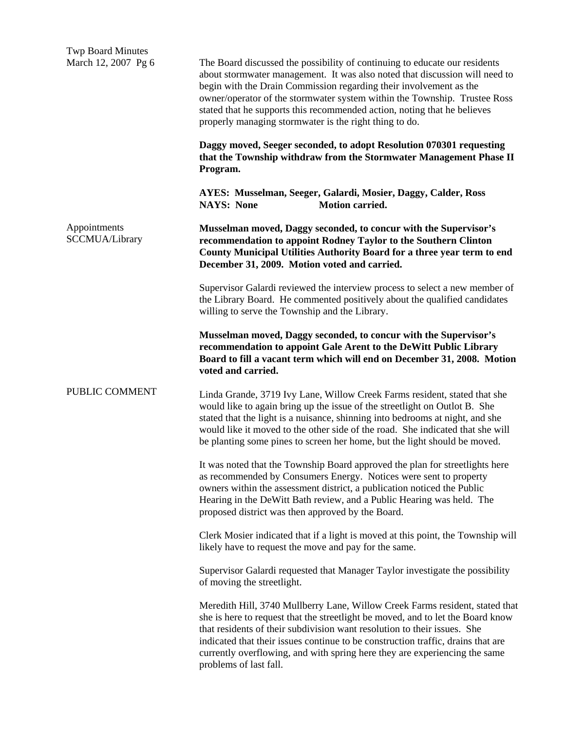| <b>Twp Board Minutes</b><br>March 12, 2007 Pg 6 | The Board discussed the possibility of continuing to educate our residents<br>about stormwater management. It was also noted that discussion will need to<br>begin with the Drain Commission regarding their involvement as the<br>owner/operator of the stormwater system within the Township. Trustee Ross<br>stated that he supports this recommended action, noting that he believes<br>properly managing stormwater is the right thing to do.<br>Daggy moved, Seeger seconded, to adopt Resolution 070301 requesting<br>that the Township withdraw from the Stormwater Management Phase II<br>Program. |
|-------------------------------------------------|-------------------------------------------------------------------------------------------------------------------------------------------------------------------------------------------------------------------------------------------------------------------------------------------------------------------------------------------------------------------------------------------------------------------------------------------------------------------------------------------------------------------------------------------------------------------------------------------------------------|
|                                                 | AYES: Musselman, Seeger, Galardi, Mosier, Daggy, Calder, Ross<br><b>NAYS: None</b><br>Motion carried.                                                                                                                                                                                                                                                                                                                                                                                                                                                                                                       |
| Appointments<br>SCCMUA/Library                  | Musselman moved, Daggy seconded, to concur with the Supervisor's<br>recommendation to appoint Rodney Taylor to the Southern Clinton<br>County Municipal Utilities Authority Board for a three year term to end<br>December 31, 2009. Motion voted and carried.                                                                                                                                                                                                                                                                                                                                              |
|                                                 | Supervisor Galardi reviewed the interview process to select a new member of<br>the Library Board. He commented positively about the qualified candidates<br>willing to serve the Township and the Library.                                                                                                                                                                                                                                                                                                                                                                                                  |
|                                                 | Musselman moved, Daggy seconded, to concur with the Supervisor's<br>recommendation to appoint Gale Arent to the DeWitt Public Library<br>Board to fill a vacant term which will end on December 31, 2008. Motion<br>voted and carried.                                                                                                                                                                                                                                                                                                                                                                      |
| PUBLIC COMMENT                                  | Linda Grande, 3719 Ivy Lane, Willow Creek Farms resident, stated that she<br>would like to again bring up the issue of the streetlight on Outlot B. She<br>stated that the light is a nuisance, shinning into bedrooms at night, and she<br>would like it moved to the other side of the road. She indicated that she will<br>be planting some pines to screen her home, but the light should be moved.                                                                                                                                                                                                     |
|                                                 | It was noted that the Township Board approved the plan for streetlights here<br>as recommended by Consumers Energy. Notices were sent to property<br>owners within the assessment district, a publication noticed the Public<br>Hearing in the DeWitt Bath review, and a Public Hearing was held. The<br>proposed district was then approved by the Board.                                                                                                                                                                                                                                                  |
|                                                 | Clerk Mosier indicated that if a light is moved at this point, the Township will<br>likely have to request the move and pay for the same.                                                                                                                                                                                                                                                                                                                                                                                                                                                                   |
|                                                 | Supervisor Galardi requested that Manager Taylor investigate the possibility<br>of moving the streetlight.                                                                                                                                                                                                                                                                                                                                                                                                                                                                                                  |
|                                                 | Meredith Hill, 3740 Mullberry Lane, Willow Creek Farms resident, stated that<br>she is here to request that the streetlight be moved, and to let the Board know<br>that residents of their subdivision want resolution to their issues. She<br>indicated that their issues continue to be construction traffic, drains that are<br>currently overflowing, and with spring here they are experiencing the same<br>problems of last fall.                                                                                                                                                                     |